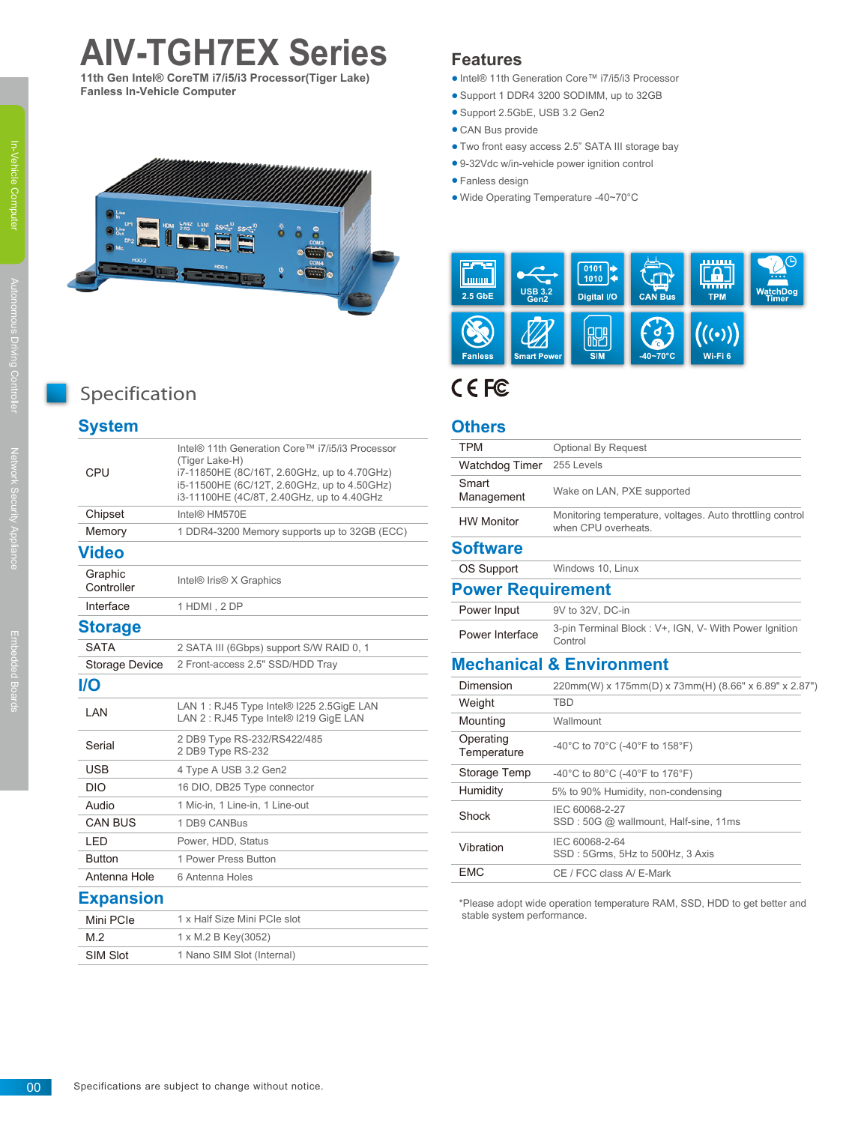# **AIV-TGH7EX Series**

**11th Gen Intel® CoreTM i7/i5/i3 Processor(Tiger Lake) Fanless In-Vehicle Computer**



## Specification

## **System**

| CPU                   | Intel® 11th Generation Core™ i7/i5/i3 Processor<br>(Tiger Lake-H)<br>i7-11850HE (8C/16T, 2.60GHz, up to 4.70GHz)<br>i5-11500HE (6C/12T, 2.60GHz, up to 4.50GHz)<br>i3-11100HE (4C/8T, 2.40GHz, up to 4.40GHz |
|-----------------------|--------------------------------------------------------------------------------------------------------------------------------------------------------------------------------------------------------------|
| Chipset               | Intel® HM570E                                                                                                                                                                                                |
| Memory                | 1 DDR4-3200 Memory supports up to 32GB (ECC)                                                                                                                                                                 |
| Video                 |                                                                                                                                                                                                              |
| Graphic<br>Controller | Intel <sup>®</sup> Iris <sup>®</sup> X Graphics                                                                                                                                                              |
| Interface             | 1 HDMI, 2 DP                                                                                                                                                                                                 |
| <b>Storage</b>        |                                                                                                                                                                                                              |
| <b>SATA</b>           | 2 SATA III (6Gbps) support S/W RAID 0, 1                                                                                                                                                                     |
| Storage Device        | 2 Front-access 2.5" SSD/HDD Tray                                                                                                                                                                             |
| I/O                   |                                                                                                                                                                                                              |
| LAN                   | LAN 1 : RJ45 Type Intel® I225 2.5GigE LAN<br>LAN 2: RJ45 Type Intel® I219 GigE LAN                                                                                                                           |
| Serial                | 2 DB9 Type RS-232/RS422/485<br>2 DB9 Type RS-232                                                                                                                                                             |
| USB                   | 4 Type A USB 3.2 Gen2                                                                                                                                                                                        |
| <b>DIO</b>            | 16 DIO, DB25 Type connector                                                                                                                                                                                  |
| Audio                 | 1 Mic-in, 1 Line-in, 1 Line-out                                                                                                                                                                              |
| <b>CAN BUS</b>        | 1 DB9 CANBus                                                                                                                                                                                                 |
| LED                   | Power, HDD, Status                                                                                                                                                                                           |
| <b>Button</b>         | 1 Power Press Button                                                                                                                                                                                         |
| Antenna Hole          | 6 Antenna Holes                                                                                                                                                                                              |
| <b>Expansion</b>      |                                                                                                                                                                                                              |
| Mini PCIe             | 1 x Half Size Mini PCIe slot                                                                                                                                                                                 |
| M.2                   | 1 x M.2 B Key(3052)                                                                                                                                                                                          |
| <b>SIM Slot</b>       | 1 Nano SIM Slot (Internal)                                                                                                                                                                                   |
|                       |                                                                                                                                                                                                              |

### **Features**

- Intel® 11th Generation Core™ i7/i5/i3 Processor
- Support 1 DDR4 3200 SODIMM, up to 32GB ●
- Support 2.5GbE, USB 3.2 Gen2
- CAN Bus provide
- Two front easy access 2.5" SATA III storage bay ●
- 9-32Vdc w/in-vehicle power ignition control
- Fanless design ●
- Wide Operating Temperature -40~70°C



## **CEE**

#### **Others**

| <b>TPM</b>               | <b>Optional By Request</b>                                                       |
|--------------------------|----------------------------------------------------------------------------------|
| <b>Watchdog Timer</b>    | 255 Levels                                                                       |
| Smart<br>Management      | Wake on LAN, PXE supported                                                       |
| <b>HW Monitor</b>        | Monitoring temperature, voltages. Auto throttling control<br>when CPU overheats. |
| <b>Software</b>          |                                                                                  |
| OS Support               | Windows 10, Linux                                                                |
| <b>Power Requirement</b> |                                                                                  |
| Power Input              | 9V to 32V, DC-in                                                                 |
| Power Interface          | 3-pin Terminal Block: V+, IGN, V- With Power Ignition<br>Control                 |
|                          | <b>Mechanical &amp; Environment</b>                                              |
| Dimension                | 220mm(W) x 175mm(D) x 73mm(H) (8.66" x 6.89" x 2.87")                            |
| Weight                   | <b>TRD</b>                                                                       |
| Mounting                 | Wallmount                                                                        |
| Operating<br>Temperature | -40°C to 70°C (-40°F to 158°F)                                                   |
| Storage Temp             | -40°C to 80°C (-40°F to 176°F)                                                   |
| Humidity                 | 5% to 90% Humidity, non-condensing                                               |
| Shock                    | IEC 60068-2-27<br>SSD: 50G @ wallmount, Half-sine, 11ms                          |
| Vibration                | IEC 60068-2-64<br>SSD: 5Grms, 5Hz to 500Hz, 3 Axis                               |
| <b>EMC</b>               | CE / FCC class A/ E-Mark                                                         |

\*Please adopt wide operation temperature RAM, SSD, HDD to get better and stable system performance.

00